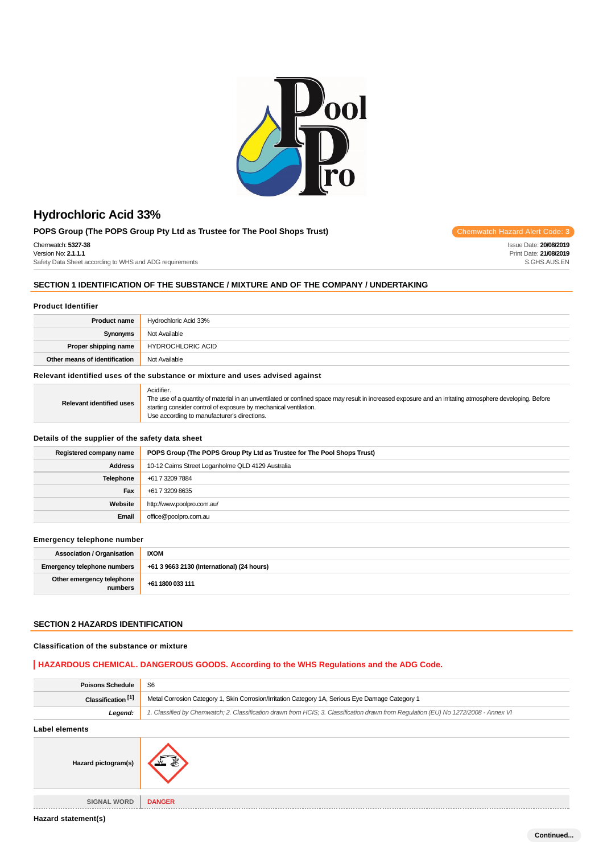

## **POPS Group (The POPS Group Pty Ltd as Trustee for The Pool Shops Trust)** Chemwatch Hazard Alert Code: 3

Chemwatch: **5327-38** Version No: **2.1.1.1**

Safety Data Sheet according to WHS and ADG requirements

## **SECTION 1 IDENTIFICATION OF THE SUBSTANCE / MIXTURE AND OF THE COMPANY / UNDERTAKING**

### **Product Identifier**

| <b>Product name</b>           | Hydrochloric Acid 33%    |
|-------------------------------|--------------------------|
| Synonyms                      | Not Available            |
| Proper shipping name          | <b>HYDROCHLORIC ACID</b> |
| Other means of identification | Not Available            |

### **Relevant identified uses of the substance or mixture and uses advised against**

| <b>Relevant identified uses</b> | Acidifier.<br>The use of a quantity of material in an unventilated or confined space may result in increased exposure and an irritating atmosphere developing. Before<br>starting consider control of exposure by mechanical ventilation.<br>Use according to manufacturer's directions. |
|---------------------------------|------------------------------------------------------------------------------------------------------------------------------------------------------------------------------------------------------------------------------------------------------------------------------------------|
|---------------------------------|------------------------------------------------------------------------------------------------------------------------------------------------------------------------------------------------------------------------------------------------------------------------------------------|

## **Details of the supplier of the safety data sheet**

| Registered company name | POPS Group (The POPS Group Pty Ltd as Trustee for The Pool Shops Trust) |
|-------------------------|-------------------------------------------------------------------------|
| <b>Address</b>          | 10-12 Cairns Street Loganholme QLD 4129 Australia                       |
| Telephone               | +61 7 3209 7884                                                         |
| Fax                     | +61 7 3209 8635                                                         |
| Website                 | http://www.poolpro.com.au/                                              |
| Email                   | office@poolpro.com.au                                                   |

#### **Emergency telephone number**

| <b>Association / Organisation</b>    | <b>IXOM</b>                                |
|--------------------------------------|--------------------------------------------|
| <b>Emergency telephone numbers</b>   | +61 3 9663 2130 (International) (24 hours) |
| Other emergency telephone<br>numbers | +61 1800 033 111                           |

### **SECTION 2 HAZARDS IDENTIFICATION**

#### **Classification of the substance or mixture**

## **HAZARDOUS CHEMICAL. DANGEROUS GOODS. According to the WHS Regulations and the ADG Code.**

| <b>Poisons Schedule</b>       | S <sub>6</sub>                                                                                                                      |  |
|-------------------------------|-------------------------------------------------------------------------------------------------------------------------------------|--|
| Classification <sup>[1]</sup> | Metal Corrosion Category 1, Skin Corrosion/Irritation Category 1A, Serious Eye Damage Category 1                                    |  |
| Legend:                       | 1. Classified by Chemwatch; 2. Classification drawn from HCIS; 3. Classification drawn from Regulation (EU) No 1272/2008 - Annex VI |  |
| <b>Label elements</b>         |                                                                                                                                     |  |
| Hazard pictogram(s)           |                                                                                                                                     |  |
| <b>SIGNAL WORD</b>            | <b>DANGER</b>                                                                                                                       |  |

Issue Date: **20/08/2019** Print Date: **21/08/2019** S.GHS.AUS.EN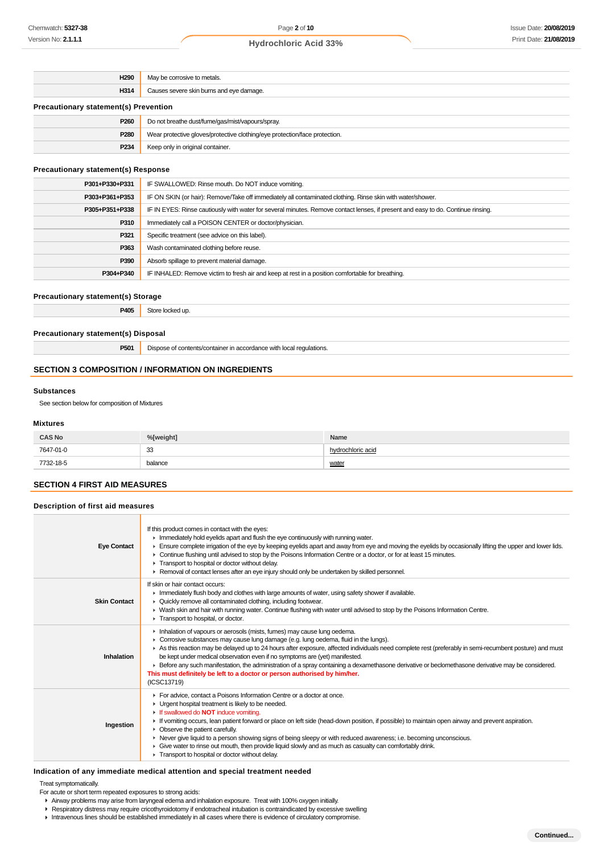| H <sub>290</sub>                             | May be corrosive to metals.                                                |
|----------------------------------------------|----------------------------------------------------------------------------|
| H314                                         | Causes severe skin burns and eye damage.                                   |
| <b>Precautionary statement(s) Prevention</b> |                                                                            |
| P <sub>260</sub>                             | Do not breathe dust/fume/gas/mist/vapours/spray.                           |
| P <sub>280</sub>                             | Wear protective gloves/protective clothing/eye protection/face protection. |
| P <sub>234</sub>                             | Keep only in original container.                                           |

### **Precautionary statement(s) Response**

| P301+P330+P331 | IF SWALLOWED: Rinse mouth. Do NOT induce vomiting.                                                                               |
|----------------|----------------------------------------------------------------------------------------------------------------------------------|
| P303+P361+P353 | IF ON SKIN (or hair): Remove/Take off immediately all contaminated clothing. Rinse skin with water/shower.                       |
| P305+P351+P338 | IF IN EYES: Rinse cautiously with water for several minutes. Remove contact lenses, if present and easy to do. Continue rinsing. |
| P310           | Immediately call a POISON CENTER or doctor/physician.                                                                            |
| P321           | Specific treatment (see advice on this label).                                                                                   |
| P363           | Wash contaminated clothing before reuse.                                                                                         |
| P390           | Absorb spillage to prevent material damage.                                                                                      |
| P304+P340      | IF INHALED: Remove victim to fresh air and keep at rest in a position comfortable for breathing.                                 |

#### **Precautionary statement(s) Storage**

**P405** Store locked up.

## **Precautionary statement(s) Disposal**

**P501** Dispose of contents/container in accordance with local regulations.

### **SECTION 3 COMPOSITION / INFORMATION ON INGREDIENTS**

#### **Substances**

See section below for composition of Mixtures

#### **Mixtures**

| <b>CAS No</b> | %[weight] | Name              |
|---------------|-----------|-------------------|
| 7647-01-0     | 33        | hydrochloric acid |
| 7732-18-5     | balance   | water             |

## **SECTION 4 FIRST AID MEASURES**

#### **Description of first aid measures**

| <b>Eye Contact</b>  | If this product comes in contact with the eyes:<br>Inmediately hold eyelids apart and flush the eye continuously with running water.<br>Ensure complete irrigation of the eye by keeping eyelids apart and away from eye and moving the eyelids by occasionally lifting the upper and lower lids.<br>► Continue flushing until advised to stop by the Poisons Information Centre or a doctor, or for at least 15 minutes.<br>Transport to hospital or doctor without delay.<br>► Removal of contact lenses after an eye injury should only be undertaken by skilled personnel.                                                                                            |
|---------------------|---------------------------------------------------------------------------------------------------------------------------------------------------------------------------------------------------------------------------------------------------------------------------------------------------------------------------------------------------------------------------------------------------------------------------------------------------------------------------------------------------------------------------------------------------------------------------------------------------------------------------------------------------------------------------|
| <b>Skin Contact</b> | If skin or hair contact occurs:<br>In Immediately flush body and clothes with large amounts of water, using safety shower if available.<br>▶ Quickly remove all contaminated clothing, including footwear.<br>> Wash skin and hair with running water. Continue flushing with water until advised to stop by the Poisons Information Centre.<br>Transport to hospital, or doctor.                                                                                                                                                                                                                                                                                         |
| Inhalation          | Inhalation of vapours or aerosols (mists, fumes) may cause lung oedema.<br>► Corrosive substances may cause lung damage (e.g. lung oedema, fluid in the lungs).<br>As this reaction may be delayed up to 24 hours after exposure, affected individuals need complete rest (preferably in semi-recumbent posture) and must<br>be kept under medical observation even if no symptoms are (yet) manifested.<br>Example for early such manifestation, the administration of a spray containing a dexamethasone derivative or beclomethasone derivative may be considered.<br>This must definitely be left to a doctor or person authorised by him/her.<br>(ICSC13719)         |
| Ingestion           | For advice, contact a Poisons Information Centre or a doctor at once.<br>• Urgent hospital treatment is likely to be needed.<br>If swallowed do <b>NOT</b> induce vomiting.<br>If vomiting occurs, lean patient forward or place on left side (head-down position, if possible) to maintain open airway and prevent aspiration.<br>$\triangleright$ Observe the patient carefully.<br>▶ Never give liquid to a person showing signs of being sleepy or with reduced awareness; i.e. becoming unconscious.<br>• Give water to rinse out mouth, then provide liquid slowly and as much as casualty can comfortably drink.<br>Transport to hospital or doctor without delay. |

### **Indication of any immediate medical attention and special treatment needed**

Treat symptomatically.

- For acute or short term repeated exposures to strong acids:
- Airway problems may arise from laryngeal edema and inhalation exposure. Treat with 100% oxygen initially.
- Respiratory distress may require cricothyroidotomy if endotracheal intubation is contraindicated by excessive swelling
- Intravenous lines should be established immediately in all cases where there is evidence of circulatory compromise.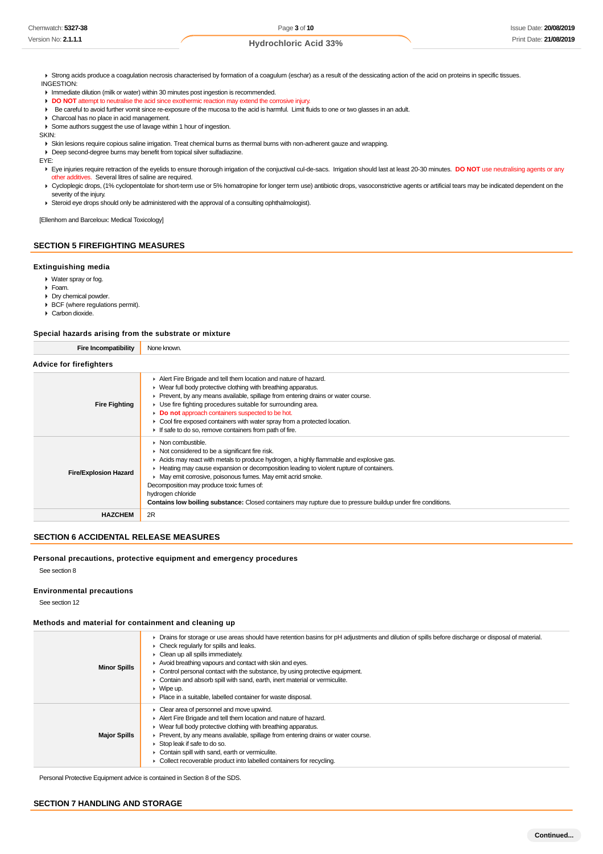K Strong acids produce a coagulation necrosis characterised by formation of a coagulum (eschar) as a result of the dessicating action of the acid on proteins in specific tissues. INGESTION:

**Immediate dilution (milk or water) within 30 minutes post ingestion is recommended.** 

**DO NOT** attempt to neutralise the acid since exothermic reaction may extend the corrosive injury.

- Be careful to avoid further vomit since re-exposure of the mucosa to the acid is harmful. Limit fluids to one or two glasses in an adult.
- Charcoal has no place in acid management.

Some authors suggest the use of lavage within 1 hour of ingestion.

SKIN:

Skin lesions require copious saline irrigation. Treat chemical burns as thermal burns with non-adherent gauze and wrapping.

Deep second-degree burns may benefit from topical silver sulfadiazine.

EYE:

Eye injuries require retraction of the eyelids to ensure thorough irrigation of the conjuctival cul-de-sacs. Irrigation should last at least 20-30 minutes. **DO NOT** use neutralising agents or any other additives. Several litres of saline are required.

▶ Cycloplegic drops, (1% cyclopentolate for short-term use or 5% homatropine for longer term use) antibiotic drops, vasoconstrictive agents or artificial tears may be indicated dependent on the severity of the injury.

▶ Steroid eye drops should only be administered with the approval of a consulting ophthalmologist).

[Ellenhorn and Barceloux: Medical Toxicology]

## **SECTION 5 FIREFIGHTING MEASURES**

#### **Extinguishing media**

Water spray or fog.

- Foam.
- Dry chemical powder.
- ▶ BCF (where regulations permit).
- Carbon dioxide.

#### **Special hazards arising from the substrate or mixture**

| <b>Fire Incompatibility</b>    | None known.                                                                                                                                                                                                                                                                                                                                                                                                                                                                                                                                        |  |
|--------------------------------|----------------------------------------------------------------------------------------------------------------------------------------------------------------------------------------------------------------------------------------------------------------------------------------------------------------------------------------------------------------------------------------------------------------------------------------------------------------------------------------------------------------------------------------------------|--|
| <b>Advice for firefighters</b> |                                                                                                                                                                                                                                                                                                                                                                                                                                                                                                                                                    |  |
| <b>Fire Fighting</b>           | Alert Fire Brigade and tell them location and nature of hazard.<br>• Wear full body protective clothing with breathing apparatus.<br>• Prevent, by any means available, spillage from entering drains or water course.<br>▶ Use fire fighting procedures suitable for surrounding area.<br>Do not approach containers suspected to be hot.<br>Cool fire exposed containers with water spray from a protected location.<br>If safe to do so, remove containers from path of fire.                                                                   |  |
| <b>Fire/Explosion Hazard</b>   | $\triangleright$ Non combustible.<br>$\triangleright$ Not considered to be a significant fire risk.<br>Acids may react with metals to produce hydrogen, a highly flammable and explosive gas.<br>► Heating may cause expansion or decomposition leading to violent rupture of containers.<br>► May emit corrosive, poisonous fumes. May emit acrid smoke.<br>Decomposition may produce toxic fumes of:<br>hydrogen chloride<br><b>Contains low boiling substance:</b> Closed containers may rupture due to pressure buildup under fire conditions. |  |
| <b>HAZCHEM</b>                 | 2R                                                                                                                                                                                                                                                                                                                                                                                                                                                                                                                                                 |  |

## **SECTION 6 ACCIDENTAL RELEASE MEASURES**

#### **Personal precautions, protective equipment and emergency procedures**

See section 8

#### **Environmental precautions**

See section 12

#### **Methods and material for containment and cleaning up**

| <b>Minor Spills</b> | > Drains for storage or use areas should have retention basins for pH adjustments and dilution of spills before discharge or disposal of material.<br>$\triangleright$ Check regularly for spills and leaks.<br>$\triangleright$ Clean up all spills immediately.<br>Avoid breathing vapours and contact with skin and eyes.<br>$\triangleright$ Control personal contact with the substance, by using protective equipment.<br>• Contain and absorb spill with sand, earth, inert material or vermiculite.<br>$\triangleright$ Wipe up.<br>• Place in a suitable, labelled container for waste disposal. |
|---------------------|-----------------------------------------------------------------------------------------------------------------------------------------------------------------------------------------------------------------------------------------------------------------------------------------------------------------------------------------------------------------------------------------------------------------------------------------------------------------------------------------------------------------------------------------------------------------------------------------------------------|
| <b>Major Spills</b> | $\triangleright$ Clear area of personnel and move upwind.<br>Alert Fire Brigade and tell them location and nature of hazard.<br>• Wear full body protective clothing with breathing apparatus.<br>• Prevent, by any means available, spillage from entering drains or water course.<br>Stop leak if safe to do so.<br>• Contain spill with sand, earth or vermiculite.<br>• Collect recoverable product into labelled containers for recycling.                                                                                                                                                           |

Personal Protective Equipment advice is contained in Section 8 of the SDS.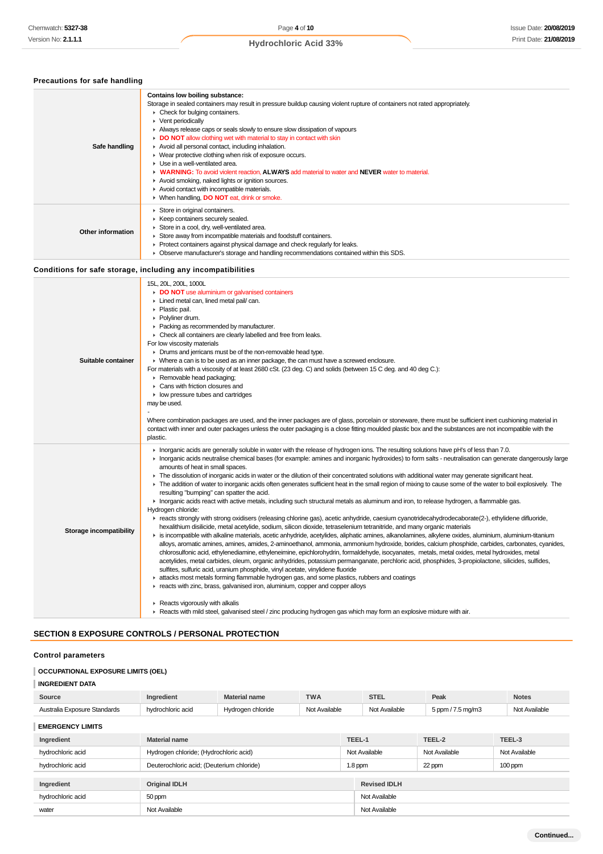**Precautions for safe handling**

## **Hydrochloric Acid 33%**

**Contains low boiling substance:**

| Safe handling            | Storage in sealed containers may result in pressure buildup causing violent rupture of containers not rated appropriately.<br>• Check for bulging containers.<br>▶ Vent periodically<br>Always release caps or seals slowly to ensure slow dissipation of vapours<br>DO NOT allow clothing wet with material to stay in contact with skin<br>Avoid all personal contact, including inhalation.<br>▶ Wear protective clothing when risk of exposure occurs.<br>Use in a well-ventilated area.<br>• WARNING: To avoid violent reaction, ALWAYS add material to water and NEVER water to material.<br>Avoid smoking, naked lights or ignition sources.<br>Avoid contact with incompatible materials.<br>▶ When handling, DO NOT eat, drink or smoke.                                                                                                                                                                                                                                                                                                                                                                                                                                                                                                                                                                                                                                                                                                                                                                                                                                                                                                                                                                                                                                                                                                                                                                                                                                                                                                                                                                                                                                                                    |  |
|--------------------------|----------------------------------------------------------------------------------------------------------------------------------------------------------------------------------------------------------------------------------------------------------------------------------------------------------------------------------------------------------------------------------------------------------------------------------------------------------------------------------------------------------------------------------------------------------------------------------------------------------------------------------------------------------------------------------------------------------------------------------------------------------------------------------------------------------------------------------------------------------------------------------------------------------------------------------------------------------------------------------------------------------------------------------------------------------------------------------------------------------------------------------------------------------------------------------------------------------------------------------------------------------------------------------------------------------------------------------------------------------------------------------------------------------------------------------------------------------------------------------------------------------------------------------------------------------------------------------------------------------------------------------------------------------------------------------------------------------------------------------------------------------------------------------------------------------------------------------------------------------------------------------------------------------------------------------------------------------------------------------------------------------------------------------------------------------------------------------------------------------------------------------------------------------------------------------------------------------------------|--|
| <b>Other information</b> | Store in original containers.<br>▶ Keep containers securely sealed.<br>Store in a cool, dry, well-ventilated area.<br>Store away from incompatible materials and foodstuff containers.<br>• Protect containers against physical damage and check regularly for leaks.<br>• Observe manufacturer's storage and handling recommendations contained within this SDS.                                                                                                                                                                                                                                                                                                                                                                                                                                                                                                                                                                                                                                                                                                                                                                                                                                                                                                                                                                                                                                                                                                                                                                                                                                                                                                                                                                                                                                                                                                                                                                                                                                                                                                                                                                                                                                                    |  |
|                          | Conditions for safe storage, including any incompatibilities                                                                                                                                                                                                                                                                                                                                                                                                                                                                                                                                                                                                                                                                                                                                                                                                                                                                                                                                                                                                                                                                                                                                                                                                                                                                                                                                                                                                                                                                                                                                                                                                                                                                                                                                                                                                                                                                                                                                                                                                                                                                                                                                                         |  |
| Suitable container       | 15L, 20L, 200L, 1000L<br>DO NOT use aluminium or galvanised containers<br>Lined metal can, lined metal pail/ can.<br>▶ Plastic pail.<br>Polyliner drum.<br>Packing as recommended by manufacturer.<br>• Check all containers are clearly labelled and free from leaks.<br>For low viscosity materials<br>• Drums and jerricans must be of the non-removable head type.<br>• Where a can is to be used as an inner package, the can must have a screwed enclosure.<br>For materials with a viscosity of at least 2680 cSt. (23 deg. C) and solids (between 15 C deg. and 40 deg C.):<br>Removable head packaging;<br>Cans with friction closures and<br>$\blacktriangleright$ low pressure tubes and cartridges<br>may be used.<br>Where combination packages are used, and the inner packages are of glass, porcelain or stoneware, there must be sufficient inert cushioning material in<br>contact with inner and outer packages unless the outer packaging is a close fitting moulded plastic box and the substances are not incompatible with the<br>plastic.                                                                                                                                                                                                                                                                                                                                                                                                                                                                                                                                                                                                                                                                                                                                                                                                                                                                                                                                                                                                                                                                                                                                                    |  |
| Storage incompatibility  | Interpret acids are generally soluble in water with the release of hydrogen ions. The resulting solutions have pH's of less than 7.0.<br>Interprision of interpretation can general bases (for example: amines and inorganic hydroxides) to form salts - neutralisation can generate dangerously large<br>amounts of heat in small spaces.<br>F The dissolution of inorganic acids in water or the dilution of their concentrated solutions with additional water may generate significant heat.<br>► The addition of water to inorganic acids often generates sufficient heat in the small region of mixing to cause some of the water to boil explosively. The<br>resulting "bumping" can spatter the acid.<br>Inorganic acids react with active metals, including such structural metals as aluminum and iron, to release hydrogen, a flammable gas.<br>Hydrogen chloride:<br>F reacts strongly with strong oxidisers (releasing chlorine gas), acetic anhydride, caesium cyanotridecahydrodecaborate(2-), ethylidene difluoride,<br>hexalithium disilicide, metal acetylide, sodium, silicon dioxide, tetraselenium tetranitride, and many organic materials<br>► is incompatible with alkaline materials, acetic anhydride, acetylides, aliphatic amines, alkanolamines, alkylene oxides, aluminium, aluminium-titanium<br>alloys, aromatic amines, amines, amides, 2-aminoethanol, ammonia, ammonium hydroxide, borides, calcium phosphide, carbides, carbonates, cyanides,<br>chlorosulfonic acid, ethylenediamine, ethyleneimine, epichlorohydrin, formaldehyde, isocyanates, metals, metal oxides, metal hydroxides, metal<br>acetylides, metal carbides, oleum, organic anhydrides, potassium permanganate, perchloric acid, phosphides, 3-propiolactone, silicides, sulfides,<br>sulfites, sulfuric acid, uranium phosphide, vinyl acetate, vinylidene fluoride<br>lacks most metals forming flammable hydrogen gas, and some plastics, rubbers and coatings<br>reacts with zinc, brass, galvanised iron, aluminium, copper and copper alloys<br>Reacts vigorously with alkalis<br>▶ Reacts with mild steel, galvanised steel / zinc producing hydrogen gas which may form an explosive mixture with air. |  |

## **SECTION 8 EXPOSURE CONTROLS / PERSONAL PROTECTION**

## **Control parameters**

## **OCCUPATIONAL EXPOSURE LIMITS (OEL)**

### **INGREDIENT DATA**

| Source                       | Ingredient        | <b>Material name</b> | <b>TWA</b>    | <b>STEL</b>   | Peak              | <b>Notes</b>  |
|------------------------------|-------------------|----------------------|---------------|---------------|-------------------|---------------|
| Australia Exposure Standards | hvdrochloric acid | Hvdrogen chloride    | Not Available | Not Available | 5 ppm / 7.5 mg/m3 | Not Available |

## **EMERGENCY LIMITS**

| Ingredient        | <b>Material name</b>                      |           | TEEL-1              | TEEL-2        | TEEL-3        |
|-------------------|-------------------------------------------|-----------|---------------------|---------------|---------------|
| hydrochloric acid | Hydrogen chloride; (Hydrochloric acid)    |           | Not Available       | Not Available | Not Available |
| hydrochloric acid | Deuterochloric acid; (Deuterium chloride) | $1.8$ ppm |                     | 22 ppm        | $100$ ppm     |
|                   |                                           |           |                     |               |               |
| Ingredient        | <b>Original IDLH</b>                      |           | <b>Revised IDLH</b> |               |               |
| hydrochloric acid | 50 ppm                                    |           | Not Available       |               |               |
| water             | Not Available                             |           | Not Available       |               |               |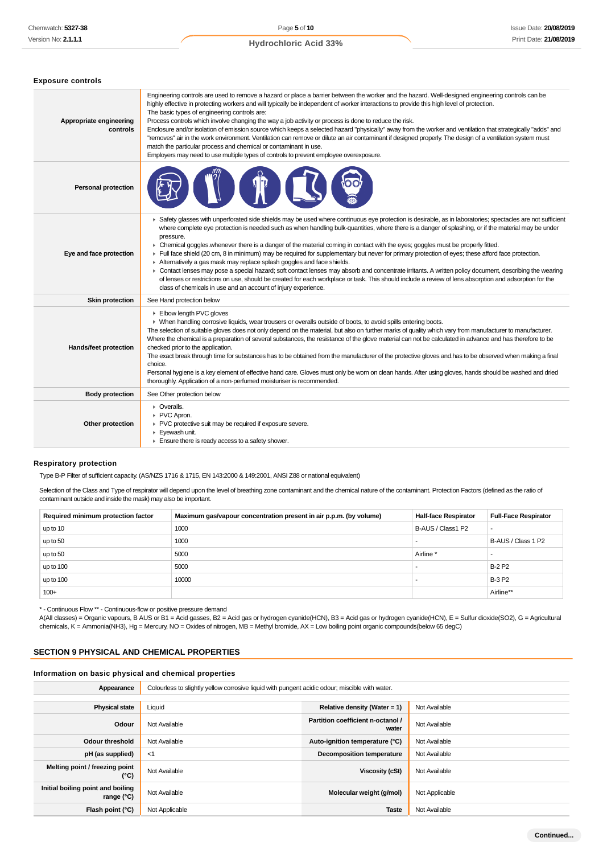**Exposure controls**

#### **Hydrochloric Acid 33%**

| Appropriate engineering<br>controls | Engineering controls are used to remove a hazard or place a barrier between the worker and the hazard. Well-designed engineering controls can be<br>highly effective in protecting workers and will typically be independent of worker interactions to provide this high level of protection.<br>The basic types of engineering controls are:<br>Process controls which involve changing the way a job activity or process is done to reduce the risk.<br>Enclosure and/or isolation of emission source which keeps a selected hazard "physically" away from the worker and ventilation that strategically "adds" and<br>"removes" air in the work environment. Ventilation can remove or dilute an air contaminant if designed properly. The design of a ventilation system must<br>match the particular process and chemical or contaminant in use.<br>Employers may need to use multiple types of controls to prevent employee overexposure.                                                                                                                                         |
|-------------------------------------|-----------------------------------------------------------------------------------------------------------------------------------------------------------------------------------------------------------------------------------------------------------------------------------------------------------------------------------------------------------------------------------------------------------------------------------------------------------------------------------------------------------------------------------------------------------------------------------------------------------------------------------------------------------------------------------------------------------------------------------------------------------------------------------------------------------------------------------------------------------------------------------------------------------------------------------------------------------------------------------------------------------------------------------------------------------------------------------------|
| <b>Personal protection</b>          |                                                                                                                                                                                                                                                                                                                                                                                                                                                                                                                                                                                                                                                                                                                                                                                                                                                                                                                                                                                                                                                                                         |
| Eye and face protection             | ▶ Safety glasses with unperforated side shields may be used where continuous eye protection is desirable, as in laboratories; spectacles are not sufficient<br>where complete eye protection is needed such as when handling bulk-quantities, where there is a danger of splashing, or if the material may be under<br>pressure.<br>• Chemical goggles whenever there is a danger of the material coming in contact with the eyes; goggles must be properly fitted.<br>Full face shield (20 cm, 8 in minimum) may be required for supplementary but never for primary protection of eyes; these afford face protection.<br>Alternatively a gas mask may replace splash goggles and face shields.<br>▶ Contact lenses may pose a special hazard; soft contact lenses may absorb and concentrate irritants. A written policy document, describing the wearing<br>of lenses or restrictions on use, should be created for each workplace or task. This should include a review of lens absorption and adsorption for the<br>class of chemicals in use and an account of injury experience. |
| <b>Skin protection</b>              | See Hand protection below                                                                                                                                                                                                                                                                                                                                                                                                                                                                                                                                                                                                                                                                                                                                                                                                                                                                                                                                                                                                                                                               |
| Hands/feet protection               | Elbow length PVC gloves<br>▶ When handling corrosive liquids, wear trousers or overalls outside of boots, to avoid spills entering boots.<br>The selection of suitable gloves does not only depend on the material, but also on further marks of quality which vary from manufacturer to manufacturer.<br>Where the chemical is a preparation of several substances, the resistance of the glove material can not be calculated in advance and has therefore to be<br>checked prior to the application.<br>The exact break through time for substances has to be obtained from the manufacturer of the protective gloves and has to be observed when making a final<br>choice.<br>Personal hygiene is a key element of effective hand care. Gloves must only be worn on clean hands. After using gloves, hands should be washed and dried<br>thoroughly. Application of a non-perfumed moisturiser is recommended.                                                                                                                                                                      |
| <b>Body protection</b>              | See Other protection below                                                                                                                                                                                                                                                                                                                                                                                                                                                                                                                                                                                                                                                                                                                                                                                                                                                                                                                                                                                                                                                              |
| Other protection                    | • Overalls.<br>PVC Apron.<br>▶ PVC protective suit may be required if exposure severe.<br>Eyewash unit.<br>Ensure there is ready access to a safety shower.                                                                                                                                                                                                                                                                                                                                                                                                                                                                                                                                                                                                                                                                                                                                                                                                                                                                                                                             |

#### **Respiratory protection**

Type B-P Filter of sufficient capacity. (AS/NZS 1716 & 1715, EN 143:2000 & 149:2001, ANSI Z88 or national equivalent)

Selection of the Class and Type of respirator will depend upon the level of breathing zone contaminant and the chemical nature of the contaminant. Protection Factors (defined as the ratio of contaminant outside and inside the mask) may also be important.

| Required minimum protection factor | Maximum gas/vapour concentration present in air p.p.m. (by volume) | <b>Half-face Respirator</b> | <b>Full-Face Respirator</b> |
|------------------------------------|--------------------------------------------------------------------|-----------------------------|-----------------------------|
| up to 10                           | 1000                                                               | B-AUS / Class1 P2           |                             |
| up to 50                           | 1000                                                               |                             | B-AUS / Class 1 P2          |
| up to 50                           | 5000                                                               | Airline <sup>'</sup>        |                             |
| up to 100                          | 5000                                                               |                             | <b>B-2 P2</b>               |
| up to 100                          | 10000                                                              |                             | <b>B-3 P2</b>               |
| $100+$                             |                                                                    |                             | Airline**                   |

\* - Continuous Flow \*\* - Continuous-flow or positive pressure demand

A(All classes) = Organic vapours, B AUS or B1 = Acid gasses, B2 = Acid gas or hydrogen cyanide(HCN), B3 = Acid gas or hydrogen cyanide(HCN), E = Sulfur dioxide(SO2), G = Agricultural chemicals, K = Ammonia(NH3), Hg = Mercury, NO = Oxides of nitrogen, MB = Methyl bromide, AX = Low boiling point organic compounds(below 65 degC)

## **SECTION 9 PHYSICAL AND CHEMICAL PROPERTIES**

## **Information on basic physical and chemical properties**

Appearance **Colourless to slightly yellow corrosive liquid with pungent acidic odour; miscible with water.** 

| <b>Physical state</b>                                    | Liquid         | Relative density (Water = 1)               | Not Available  |
|----------------------------------------------------------|----------------|--------------------------------------------|----------------|
| Odour                                                    | Not Available  | Partition coefficient n-octanol /<br>water | Not Available  |
| <b>Odour threshold</b>                                   | Not Available  | Auto-ignition temperature (°C)             | Not Available  |
| pH (as supplied)                                         | $<$ 1          | <b>Decomposition temperature</b>           | Not Available  |
| Melting point / freezing point<br>(°C)                   | Not Available  | Viscosity (cSt)                            | Not Available  |
| Initial boiling point and boiling<br>range $(^{\circ}C)$ | Not Available  | Molecular weight (g/mol)                   | Not Applicable |
| Flash point (°C)                                         | Not Applicable | <b>Taste</b>                               | Not Available  |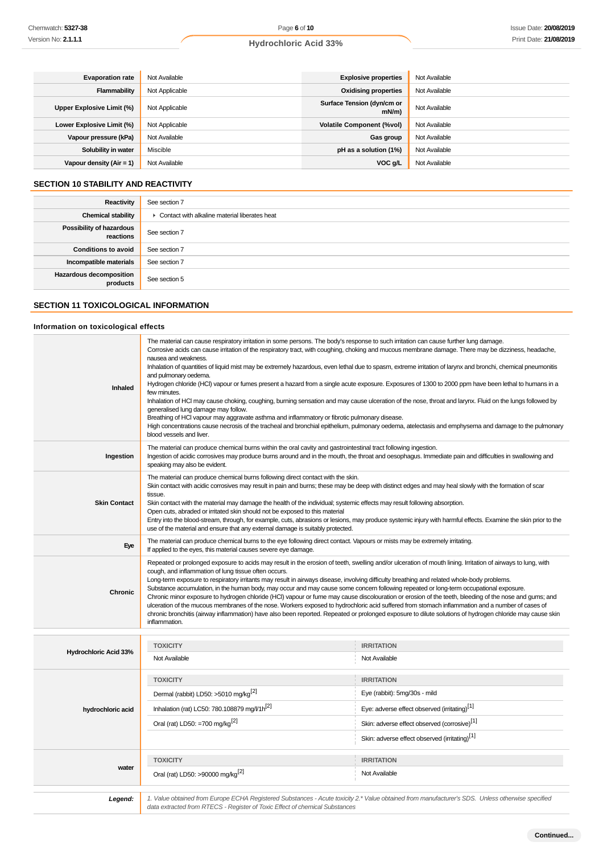| <b>Evaporation rate</b>    | Not Available  | <b>Explosive properties</b>            | Not Available |
|----------------------------|----------------|----------------------------------------|---------------|
| <b>Flammability</b>        | Not Applicable | <b>Oxidising properties</b>            | Not Available |
| Upper Explosive Limit (%)  | Not Applicable | Surface Tension (dyn/cm or<br>$mN/m$ ) | Not Available |
| Lower Explosive Limit (%)  | Not Applicable | <b>Volatile Component (%vol)</b>       | Not Available |
| Vapour pressure (kPa)      | Not Available  | Gas group                              | Not Available |
| Solubility in water        | Miscible       | pH as a solution (1%)                  | Not Available |
| Vapour density $(Air = 1)$ | Not Available  | VOC g/L                                | Not Available |

## **SECTION 10 STABILITY AND REACTIVITY**

| Reactivity                                 | See section 7                                   |
|--------------------------------------------|-------------------------------------------------|
| <b>Chemical stability</b>                  | • Contact with alkaline material liberates heat |
| Possibility of hazardous<br>reactions      | See section 7                                   |
| <b>Conditions to avoid</b>                 | See section 7                                   |
| Incompatible materials                     | See section 7                                   |
| <b>Hazardous decomposition</b><br>products | See section 5                                   |

## **SECTION 11 TOXICOLOGICAL INFORMATION**

## **Information on toxicological effects**

| Inhaled                      | The material can cause respiratory irritation in some persons. The body's response to such irritation can cause further lung damage.<br>Corrosive acids can cause irritation of the respiratory tract, with coughing, choking and mucous membrane damage. There may be dizziness, headache,<br>nausea and weakness.<br>Inhalation of quantities of liquid mist may be extremely hazardous, even lethal due to spasm, extreme irritation of larynx and bronchi, chemical pneumonitis<br>and pulmonary oedema.<br>Hydrogen chloride (HCl) vapour or fumes present a hazard from a single acute exposure. Exposures of 1300 to 2000 ppm have been lethal to humans in a<br>few minutes.<br>Inhalation of HCI may cause choking, coughing, burning sensation and may cause ulceration of the nose, throat and larynx. Fluid on the lungs followed by<br>generalised lung damage may follow.<br>Breathing of HCI vapour may aggravate asthma and inflammatory or fibrotic pulmonary disease.<br>High concentrations cause necrosis of the tracheal and bronchial epithelium, pulmonary oedema, atelectasis and emphysema and damage to the pulmonary<br>blood vessels and liver. |                                                                                                                                                  |  |  |  |
|------------------------------|-----------------------------------------------------------------------------------------------------------------------------------------------------------------------------------------------------------------------------------------------------------------------------------------------------------------------------------------------------------------------------------------------------------------------------------------------------------------------------------------------------------------------------------------------------------------------------------------------------------------------------------------------------------------------------------------------------------------------------------------------------------------------------------------------------------------------------------------------------------------------------------------------------------------------------------------------------------------------------------------------------------------------------------------------------------------------------------------------------------------------------------------------------------------------------|--------------------------------------------------------------------------------------------------------------------------------------------------|--|--|--|
| Ingestion                    | The material can produce chemical burns within the oral cavity and gastrointestinal tract following ingestion.<br>Ingestion of acidic corrosives may produce burns around and in the mouth, the throat and oesophagus. Immediate pain and difficulties in swallowing and<br>speaking may also be evident.                                                                                                                                                                                                                                                                                                                                                                                                                                                                                                                                                                                                                                                                                                                                                                                                                                                                   |                                                                                                                                                  |  |  |  |
| <b>Skin Contact</b>          | The material can produce chemical burns following direct contact with the skin.<br>Skin contact with acidic corrosives may result in pain and burns; these may be deep with distinct edges and may heal slowly with the formation of scar<br>tissue.<br>Skin contact with the material may damage the health of the individual; systemic effects may result following absorption.<br>Open cuts, abraded or irritated skin should not be exposed to this material<br>Entry into the blood-stream, through, for example, cuts, abrasions or lesions, may produce systemic injury with harmful effects. Examine the skin prior to the<br>use of the material and ensure that any external damage is suitably protected.                                                                                                                                                                                                                                                                                                                                                                                                                                                        |                                                                                                                                                  |  |  |  |
| Eye                          | The material can produce chemical burns to the eye following direct contact. Vapours or mists may be extremely irritating.<br>If applied to the eyes, this material causes severe eye damage.                                                                                                                                                                                                                                                                                                                                                                                                                                                                                                                                                                                                                                                                                                                                                                                                                                                                                                                                                                               |                                                                                                                                                  |  |  |  |
| <b>Chronic</b>               | Repeated or prolonged exposure to acids may result in the erosion of teeth, swelling and/or ulceration of mouth lining. Irritation of airways to lung, with<br>cough, and inflammation of lung tissue often occurs.<br>Long-term exposure to respiratory irritants may result in airways disease, involving difficulty breathing and related whole-body problems.<br>Substance accumulation, in the human body, may occur and may cause some concern following repeated or long-term occupational exposure.<br>Chronic minor exposure to hydrogen chloride (HCI) vapour or fume may cause discolouration or erosion of the teeth, bleeding of the nose and gums; and<br>ulceration of the mucous membranes of the nose. Workers exposed to hydrochloric acid suffered from stomach inflammation and a number of cases of<br>chronic bronchitis (airway inflammation) have also been reported. Repeated or prolonged exposure to dilute solutions of hydrogen chloride may cause skin<br>inflammation.                                                                                                                                                                       |                                                                                                                                                  |  |  |  |
|                              | <b>TOXICITY</b>                                                                                                                                                                                                                                                                                                                                                                                                                                                                                                                                                                                                                                                                                                                                                                                                                                                                                                                                                                                                                                                                                                                                                             | <b>IRRITATION</b>                                                                                                                                |  |  |  |
| <b>Hydrochloric Acid 33%</b> | Not Available                                                                                                                                                                                                                                                                                                                                                                                                                                                                                                                                                                                                                                                                                                                                                                                                                                                                                                                                                                                                                                                                                                                                                               | Not Available                                                                                                                                    |  |  |  |
|                              | <b>TOXICITY</b>                                                                                                                                                                                                                                                                                                                                                                                                                                                                                                                                                                                                                                                                                                                                                                                                                                                                                                                                                                                                                                                                                                                                                             | <b>IRRITATION</b>                                                                                                                                |  |  |  |
|                              | Dermal (rabbit) LD50: >5010 mg/kg <sup>[2]</sup>                                                                                                                                                                                                                                                                                                                                                                                                                                                                                                                                                                                                                                                                                                                                                                                                                                                                                                                                                                                                                                                                                                                            | Eye (rabbit): 5mg/30s - mild                                                                                                                     |  |  |  |
| hydrochloric acid            | Inhalation (rat) LC50: 780.108879 mg/l/1h[2]                                                                                                                                                                                                                                                                                                                                                                                                                                                                                                                                                                                                                                                                                                                                                                                                                                                                                                                                                                                                                                                                                                                                | Eye: adverse effect observed (irritating) <sup>[1]</sup>                                                                                         |  |  |  |
|                              | Oral (rat) LD50: =700 mg/kg <sup>[2]</sup>                                                                                                                                                                                                                                                                                                                                                                                                                                                                                                                                                                                                                                                                                                                                                                                                                                                                                                                                                                                                                                                                                                                                  | Skin: adverse effect observed (corrosive) <sup>[1]</sup>                                                                                         |  |  |  |
|                              |                                                                                                                                                                                                                                                                                                                                                                                                                                                                                                                                                                                                                                                                                                                                                                                                                                                                                                                                                                                                                                                                                                                                                                             | Skin: adverse effect observed (irritating) <sup>[1]</sup>                                                                                        |  |  |  |
|                              | <b>TOXICITY</b>                                                                                                                                                                                                                                                                                                                                                                                                                                                                                                                                                                                                                                                                                                                                                                                                                                                                                                                                                                                                                                                                                                                                                             | <b>IRRITATION</b>                                                                                                                                |  |  |  |
| water                        | Oral (rat) LD50: >90000 mg/kg <sup>[2]</sup>                                                                                                                                                                                                                                                                                                                                                                                                                                                                                                                                                                                                                                                                                                                                                                                                                                                                                                                                                                                                                                                                                                                                | Not Available                                                                                                                                    |  |  |  |
| Legend:                      | data extracted from RTECS - Register of Toxic Effect of chemical Substances                                                                                                                                                                                                                                                                                                                                                                                                                                                                                                                                                                                                                                                                                                                                                                                                                                                                                                                                                                                                                                                                                                 | 1. Value obtained from Europe ECHA Registered Substances - Acute toxicity 2.* Value obtained from manufacturer's SDS. Unless otherwise specified |  |  |  |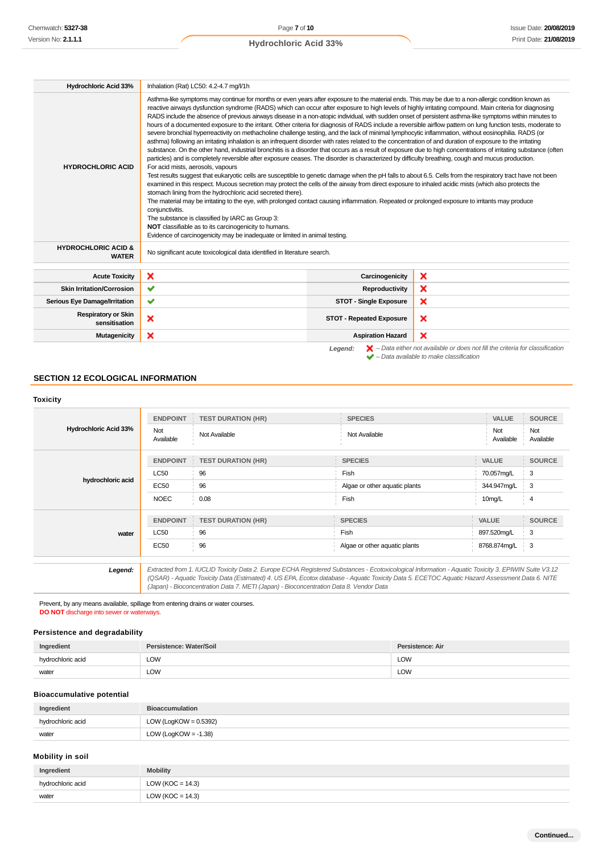| <b>Hydrochloric Acid 33%</b>                                                                                                                                                   | Inhalation (Rat) LC50: 4.2-4.7 mg/l/1h                                                                                                                                                                                                                                                                                                                                                                                                                                                                                                                                                                                                                                                                                                                                                                                                                                                                                                                                                                                                                                                                                                                                                                                                                                                                                                                                                                                                                                                                                                                                                                                                                                                                                                                                                                                                                                                                                                                                                                                                                                              |                                 |   |  |
|--------------------------------------------------------------------------------------------------------------------------------------------------------------------------------|-------------------------------------------------------------------------------------------------------------------------------------------------------------------------------------------------------------------------------------------------------------------------------------------------------------------------------------------------------------------------------------------------------------------------------------------------------------------------------------------------------------------------------------------------------------------------------------------------------------------------------------------------------------------------------------------------------------------------------------------------------------------------------------------------------------------------------------------------------------------------------------------------------------------------------------------------------------------------------------------------------------------------------------------------------------------------------------------------------------------------------------------------------------------------------------------------------------------------------------------------------------------------------------------------------------------------------------------------------------------------------------------------------------------------------------------------------------------------------------------------------------------------------------------------------------------------------------------------------------------------------------------------------------------------------------------------------------------------------------------------------------------------------------------------------------------------------------------------------------------------------------------------------------------------------------------------------------------------------------------------------------------------------------------------------------------------------------|---------------------------------|---|--|
| <b>HYDROCHLORIC ACID</b>                                                                                                                                                       | Asthma-like symptoms may continue for months or even years after exposure to the material ends. This may be due to a non-allergic condition known as<br>reactive airways dysfunction syndrome (RADS) which can occur after exposure to high levels of highly irritating compound. Main criteria for diagnosing<br>RADS include the absence of previous airways disease in a non-atopic individual, with sudden onset of persistent asthma-like symptoms within minutes to<br>hours of a documented exposure to the irritant. Other criteria for diagnosis of RADS include a reversible airflow pattern on lung function tests, moderate to<br>severe bronchial hyperreactivity on methacholine challenge testing, and the lack of minimal lymphocytic inflammation, without eosinophilia. RADS (or<br>asthma) following an irritating inhalation is an infrequent disorder with rates related to the concentration of and duration of exposure to the irritating<br>substance. On the other hand, industrial bronchitis is a disorder that occurs as a result of exposure due to high concentrations of irritating substance (often<br>particles) and is completely reversible after exposure ceases. The disorder is characterized by difficulty breathing, cough and mucus production.<br>For acid mists, aerosols, vapours<br>Test results suggest that eukaryotic cells are susceptible to genetic damage when the pH falls to about 6.5. Cells from the respiratory tract have not been<br>examined in this respect. Mucous secretion may protect the cells of the airway from direct exposure to inhaled acidic mists (which also protects the<br>stomach lining from the hydrochloric acid secreted there).<br>The material may be irritating to the eye, with prolonged contact causing inflammation. Repeated or prolonged exposure to irritants may produce<br>conjunctivitis.<br>The substance is classified by IARC as Group 3:<br>NOT classifiable as to its carcinogenicity to humans.<br>Evidence of carcinogenicity may be inadequate or limited in animal testing. |                                 |   |  |
| <b>HYDROCHLORIC ACID &amp;</b><br><b>WATER</b>                                                                                                                                 | No significant acute toxicological data identified in literature search.                                                                                                                                                                                                                                                                                                                                                                                                                                                                                                                                                                                                                                                                                                                                                                                                                                                                                                                                                                                                                                                                                                                                                                                                                                                                                                                                                                                                                                                                                                                                                                                                                                                                                                                                                                                                                                                                                                                                                                                                            |                                 |   |  |
| <b>Acute Toxicity</b>                                                                                                                                                          | ×                                                                                                                                                                                                                                                                                                                                                                                                                                                                                                                                                                                                                                                                                                                                                                                                                                                                                                                                                                                                                                                                                                                                                                                                                                                                                                                                                                                                                                                                                                                                                                                                                                                                                                                                                                                                                                                                                                                                                                                                                                                                                   | Carcinogenicity                 | × |  |
| <b>Skin Irritation/Corrosion</b>                                                                                                                                               | ✔                                                                                                                                                                                                                                                                                                                                                                                                                                                                                                                                                                                                                                                                                                                                                                                                                                                                                                                                                                                                                                                                                                                                                                                                                                                                                                                                                                                                                                                                                                                                                                                                                                                                                                                                                                                                                                                                                                                                                                                                                                                                                   | Reproductivity                  | × |  |
| <b>Serious Eye Damage/Irritation</b>                                                                                                                                           | ✔                                                                                                                                                                                                                                                                                                                                                                                                                                                                                                                                                                                                                                                                                                                                                                                                                                                                                                                                                                                                                                                                                                                                                                                                                                                                                                                                                                                                                                                                                                                                                                                                                                                                                                                                                                                                                                                                                                                                                                                                                                                                                   | <b>STOT - Single Exposure</b>   | × |  |
| <b>Respiratory or Skin</b><br>sensitisation                                                                                                                                    | ×                                                                                                                                                                                                                                                                                                                                                                                                                                                                                                                                                                                                                                                                                                                                                                                                                                                                                                                                                                                                                                                                                                                                                                                                                                                                                                                                                                                                                                                                                                                                                                                                                                                                                                                                                                                                                                                                                                                                                                                                                                                                                   | <b>STOT - Repeated Exposure</b> | × |  |
| <b>Mutagenicity</b>                                                                                                                                                            | ×                                                                                                                                                                                                                                                                                                                                                                                                                                                                                                                                                                                                                                                                                                                                                                                                                                                                                                                                                                                                                                                                                                                                                                                                                                                                                                                                                                                                                                                                                                                                                                                                                                                                                                                                                                                                                                                                                                                                                                                                                                                                                   | <b>Aspiration Hazard</b>        | × |  |
| $\blacktriangleright$ - Data either not available or does not fill the criteria for classification<br>Legend:<br>$\blacktriangleright$ - Data available to make classification |                                                                                                                                                                                                                                                                                                                                                                                                                                                                                                                                                                                                                                                                                                                                                                                                                                                                                                                                                                                                                                                                                                                                                                                                                                                                                                                                                                                                                                                                                                                                                                                                                                                                                                                                                                                                                                                                                                                                                                                                                                                                                     |                                 |   |  |

## **SECTION 12 ECOLOGICAL INFORMATION**

| <b>Toxicity</b>              |                  |                           |                               |                  |                  |
|------------------------------|------------------|---------------------------|-------------------------------|------------------|------------------|
|                              | <b>ENDPOINT</b>  | <b>TEST DURATION (HR)</b> | <b>SPECIES</b>                | VALUE            | <b>SOURCE</b>    |
| <b>Hydrochloric Acid 33%</b> | Not<br>Available | Not Available             | Not Available                 | Not<br>Available | Not<br>Available |
|                              | <b>ENDPOINT</b>  | <b>TEST DURATION (HR)</b> | <b>SPECIES</b>                | <b>VALUE</b>     | <b>SOURCE</b>    |
| hydrochloric acid            | <b>LC50</b>      | 96                        | Fish                          | 70.057mg/L       | 3                |
|                              | <b>EC50</b>      | 96                        | Algae or other aquatic plants | 344.947mg/L      | 3                |
|                              | <b>NOEC</b>      | 0.08                      | Fish                          | 10mg/L           | 4                |
|                              | <b>ENDPOINT</b>  | <b>TEST DURATION (HR)</b> | <b>SPECIES</b>                | <b>VALUE</b>     | <b>SOURCE</b>    |
| water                        | <b>LC50</b>      | 96                        | Fish                          | 897.520mg/L      | 3                |
|                              | <b>EC50</b>      | 96                        | Algae or other aquatic plants | 8768.874mg/L     | ∔ 3              |

Prevent, by any means available, spillage from entering drains or water courses. **DO NOT** discharge into sewer or waterways.

## **Persistence and degradability**

| Ingredient        | Persistence: Water/Soil     | Persistence: Air |
|-------------------|-----------------------------|------------------|
| hydrochloric acid | LOW                         | LOW              |
| water             | LOW<br>$\sim$ $\sim$ $\sim$ | <b>LOW</b>       |

(Japan) - Bioconcentration Data 7. METI (Japan) - Bioconcentration Data 8. Vendor Data

## **Bioaccumulative potential**

| Ingredient        | <b>Bioaccumulation</b>   |
|-------------------|--------------------------|
| hydrochloric acid | LOW (LogKOW = $0.5392$ ) |
| water             | LOW (LogKOW = $-1.38$ )  |

### **Mobility in soil**

| Ingredient        | <b>Mobility</b>      |
|-------------------|----------------------|
| hydrochloric acid | LOW ( $KOC = 14.3$ ) |
| water             | LOW ( $KOC = 14.3$ ) |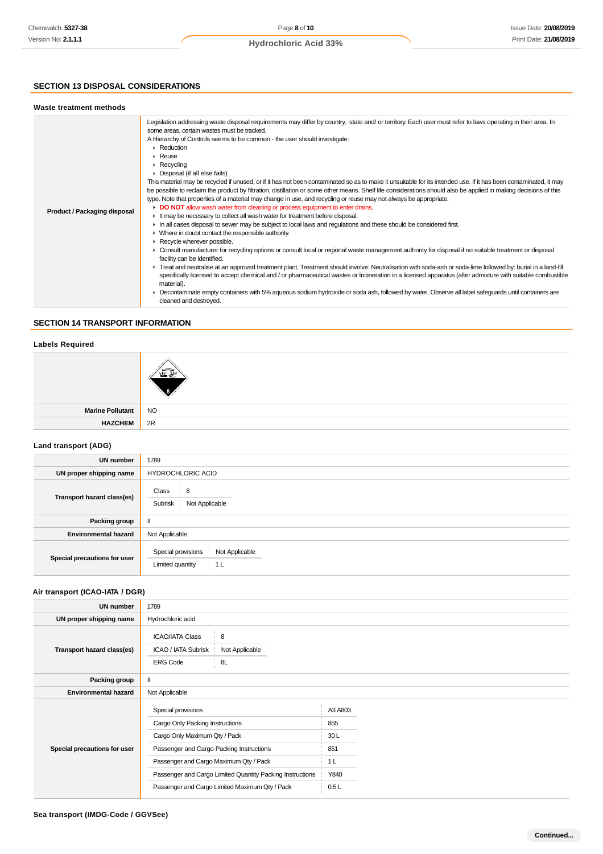## **SECTION 13 DISPOSAL CONSIDERATIONS**

### **Waste treatment methods**

| Product / Packaging disposal | Legislation addressing waste disposal requirements may differ by country, state and/ or territory. Each user must refer to laws operating in their area. In<br>some areas, certain wastes must be tracked.<br>A Hierarchy of Controls seems to be common - the user should investigate:<br>$\triangleright$ Reduction<br>$\triangleright$ Reuse<br>$\triangleright$ Recycling<br>$\triangleright$ Disposal (if all else fails)<br>This material may be recycled if unused, or if it has not been contaminated so as to make it unsuitable for its intended use. If it has been contaminated, it may<br>be possible to reclaim the product by filtration, distillation or some other means. Shelf life considerations should also be applied in making decisions of this<br>type. Note that properties of a material may change in use, and recycling or reuse may not always be appropriate.<br>DO NOT allow wash water from cleaning or process equipment to enter drains.<br>If It may be necessary to collect all wash water for treatment before disposal.<br>In all cases disposal to sewer may be subject to local laws and regulations and these should be considered first.<br>$\triangleright$ Where in doubt contact the responsible authority.<br>$\blacktriangleright$ Recycle wherever possible.<br>► Consult manufacturer for recycling options or consult local or regional waste management authority for disposal if no suitable treatment or disposal<br>facility can be identified.<br>Freat and neutralise at an approved treatment plant. Treatment should involve: Neutralisation with soda-ash or soda-lime followed by: burial in a land-fill<br>specifically licensed to accept chemical and / or pharmaceutical wastes or Incineration in a licensed apparatus (after admixture with suitable combustible<br>material).<br>• Decontaminate empty containers with 5% aqueous sodium hydroxide or soda ash, followed by water. Observe all label safeguards until containers are<br>cleaned and destroyed. |
|------------------------------|------------------------------------------------------------------------------------------------------------------------------------------------------------------------------------------------------------------------------------------------------------------------------------------------------------------------------------------------------------------------------------------------------------------------------------------------------------------------------------------------------------------------------------------------------------------------------------------------------------------------------------------------------------------------------------------------------------------------------------------------------------------------------------------------------------------------------------------------------------------------------------------------------------------------------------------------------------------------------------------------------------------------------------------------------------------------------------------------------------------------------------------------------------------------------------------------------------------------------------------------------------------------------------------------------------------------------------------------------------------------------------------------------------------------------------------------------------------------------------------------------------------------------------------------------------------------------------------------------------------------------------------------------------------------------------------------------------------------------------------------------------------------------------------------------------------------------------------------------------------------------------------------------------------------------------------------------------------------------------------------------------------------------------|
|                              |                                                                                                                                                                                                                                                                                                                                                                                                                                                                                                                                                                                                                                                                                                                                                                                                                                                                                                                                                                                                                                                                                                                                                                                                                                                                                                                                                                                                                                                                                                                                                                                                                                                                                                                                                                                                                                                                                                                                                                                                                                    |

## **SECTION 14 TRANSPORT INFORMATION**

### **Labels Required**

| Marine Pollutant NO |    |
|---------------------|----|
| <b>HAZCHEM</b>      | 2R |
|                     |    |

## **Land transport (ADG)**

| <b>UN number</b>             | 1789                                                                       |  |
|------------------------------|----------------------------------------------------------------------------|--|
| UN proper shipping name      | <b>HYDROCHLORIC ACID</b>                                                   |  |
| Transport hazard class(es)   | Class<br>8<br>Subrisk<br>Not Applicable                                    |  |
| Packing group                | $\mathbf{I}$                                                               |  |
| <b>Environmental hazard</b>  | Not Applicable                                                             |  |
| Special precautions for user | Special provisions<br>Not Applicable<br>Limited quantity<br>1 <sub>L</sub> |  |

## **Air transport (ICAO-IATA / DGR)**

| <b>UN number</b>             | 1789                                                                                                                                                                                                                                                                                        |                                                     |  |  |
|------------------------------|---------------------------------------------------------------------------------------------------------------------------------------------------------------------------------------------------------------------------------------------------------------------------------------------|-----------------------------------------------------|--|--|
| UN proper shipping name      | Hydrochloric acid                                                                                                                                                                                                                                                                           |                                                     |  |  |
| Transport hazard class(es)   | <b>ICAO/IATA Class</b><br>8<br>Not Applicable<br>ICAO / IATA Subrisk<br><b>ERG Code</b><br>8L                                                                                                                                                                                               |                                                     |  |  |
| Packing group                | $\mathbf{II}$                                                                                                                                                                                                                                                                               |                                                     |  |  |
| <b>Environmental hazard</b>  | Not Applicable                                                                                                                                                                                                                                                                              |                                                     |  |  |
| Special precautions for user | Special provisions<br>Cargo Only Packing Instructions<br>Cargo Only Maximum Qty / Pack<br>Passenger and Cargo Packing Instructions<br>Passenger and Cargo Maximum Qty / Pack<br>Passenger and Cargo Limited Quantity Packing Instructions<br>Passenger and Cargo Limited Maximum Qty / Pack | A3 A803<br>855<br>30L<br>851<br>1 L<br>Y840<br>0.5L |  |  |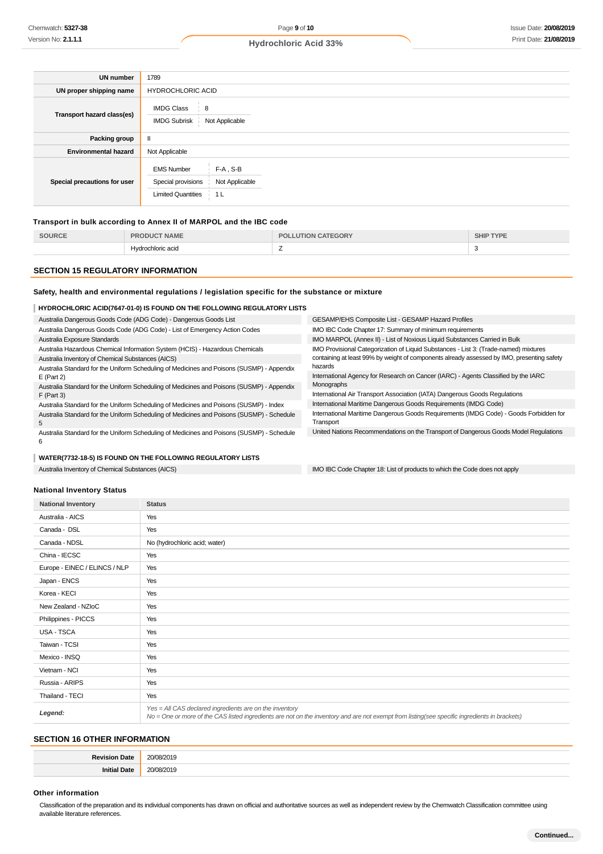| <b>UN number</b>             | 1789                                                                 |                                        |
|------------------------------|----------------------------------------------------------------------|----------------------------------------|
| UN proper shipping name      | <b>HYDROCHLORIC ACID</b>                                             |                                        |
| Transport hazard class(es)   | <b>IMDG Class</b><br>$\frac{1}{2}$ 8<br><b>IMDG Subrisk</b>          | Not Applicable                         |
| Packing group                | Ш                                                                    |                                        |
| <b>Environmental hazard</b>  | Not Applicable                                                       |                                        |
| Special precautions for user | <b>EMS Number</b><br>Special provisions<br><b>Limited Quantities</b> | $F-A$ , S-B<br>Not Applicable<br>∲ 1 L |

### **Transport in bulk according to Annex II of MARPOL and the IBC code**

| SOURCE | <b>NAME</b><br>י מר<br>זו ורור | -GORY<br>$-D0$ | <b>SHIP TYPE</b> |
|--------|--------------------------------|----------------|------------------|
|        | Hydrochloric acid              | <u>_</u>       |                  |

#### **SECTION 15 REGULATORY INFORMATION**

#### **Safety, health and environmental regulations / legislation specific for the substance or mixture**

#### **HYDROCHLORIC ACID(7647-01-0) IS FOUND ON THE FOLLOWING REGULATORY LISTS**

Australia Dangerous Goods Code (ADG Code) - Dangerous Goods List Australia Dangerous Goods Code (ADG Code) - List of Emergency Action Codes Australia Exposure Standards Australia Hazardous Chemical Information System (HCIS) - Hazardous Chemicals Australia Inventory of Chemical Substances (AICS) Australia Standard for the Uniform Scheduling of Medicines and Poisons (SUSMP) - Appendix E (Part 2) Australia Standard for the Uniform Scheduling of Medicines and Poisons (SUSMP) - Appendix F (Part 3) Australia Standard for the Uniform Scheduling of Medicines and Poisons (SUSMP) - Index Australia Standard for the Uniform Scheduling of Medicines and Poisons (SUSMP) - Schedule 5 Australia Standard for the Uniform Scheduling of Medicines and Poisons (SUSMP) - Schedule GESAMP/EHS Composite List - GESAMP Hazard Profiles IMO IBC Code Chapter 17: Summary of minimum requirements IMO MARPOL (Annex II) - List of Noxious Liquid Substances Carried in Bulk IMO Provisional Categorization of Liquid Substances - List 3: (Trade-named) mixtures containing at least 99% by weight of components already assessed by IMO, presenting safety hazards International Agency for Research on Cancer (IARC) - Agents Classified by the IARC Monographs International Air Transport Association (IATA) Dangerous Goods Regulations International Maritime Dangerous Goods Requirements (IMDG Code) International Maritime Dangerous Goods Requirements (IMDG Code) - Goods Forbidden for **Transport** United Nations Recommendations on the Transport of Dangerous Goods Model Regulations

6

#### **WATER(7732-18-5) IS FOUND ON THE FOLLOWING REGULATORY LISTS**

Australia Inventory of Chemical Substances (AICS) **IMO IBC Code Chapter 18: List of products to which the Code does not apply** 

#### **National Inventory Status**

| <b>National Inventory</b>     | <b>Status</b>                                                                                                                                                                                            |
|-------------------------------|----------------------------------------------------------------------------------------------------------------------------------------------------------------------------------------------------------|
| Australia - AICS              | Yes                                                                                                                                                                                                      |
| Canada - DSL                  | Yes                                                                                                                                                                                                      |
| Canada - NDSL                 | No (hydrochloric acid; water)                                                                                                                                                                            |
| China - IECSC                 | Yes                                                                                                                                                                                                      |
| Europe - EINEC / ELINCS / NLP | Yes                                                                                                                                                                                                      |
| Japan - ENCS                  | Yes                                                                                                                                                                                                      |
| Korea - KECI                  | Yes                                                                                                                                                                                                      |
| New Zealand - NZIoC           | Yes                                                                                                                                                                                                      |
| Philippines - PICCS           | Yes                                                                                                                                                                                                      |
| USA - TSCA                    | Yes                                                                                                                                                                                                      |
| Taiwan - TCSI                 | Yes                                                                                                                                                                                                      |
| Mexico - INSQ                 | Yes                                                                                                                                                                                                      |
| Vietnam - NCI                 | Yes                                                                                                                                                                                                      |
| Russia - ARIPS                | Yes                                                                                                                                                                                                      |
| Thailand - TECI               | Yes                                                                                                                                                                                                      |
| Legend:                       | Yes = All CAS declared ingredients are on the inventory<br>No = One or more of the CAS listed ingredients are not on the inventory and are not exempt from listing(see specific ingredients in brackets) |

## **SECTION 16 OTHER INFORMATION**

| 'at⊾ | 20/<br>/2019<br>. |
|------|-------------------|
|      | 20h<br>ា∩1⊽<br>.  |

#### **Other information**

Classification of the preparation and its individual components has drawn on official and authoritative sources as well as independent review by the Chemwatch Classification committee using available literature references.